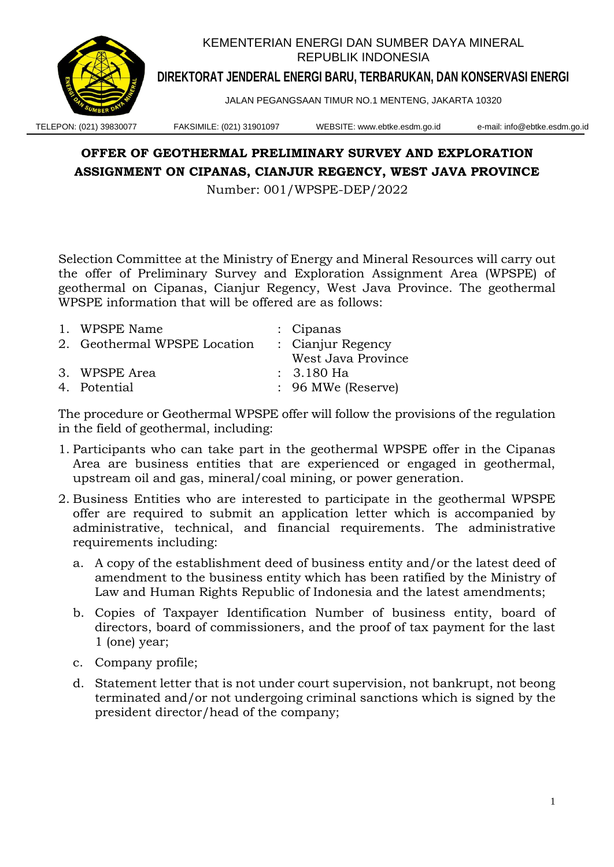

## **OFFER OF GEOTHERMAL PRELIMINARY SURVEY AND EXPLORATION ASSIGNMENT ON CIPANAS, CIANJUR REGENCY, WEST JAVA PROVINCE**

Number: 001/WPSPE-DEP/2022

Selection Committee at the Ministry of Energy and Mineral Resources will carry out the offer of Preliminary Survey and Exploration Assignment Area (WPSPE) of geothermal on Cipanas, Cianjur Regency, West Java Province. The geothermal WPSPE information that will be offered are as follows:

| 1. WPSPE Name                | : Cipanas          |
|------------------------------|--------------------|
| 2. Geothermal WPSPE Location | : Cianjur Regency  |
|                              | West Java Province |
| 3. WPSPE Area                | $: 3.180$ Ha       |
| 4. Potential                 | : 96 MWe (Reserve) |

The procedure or Geothermal WPSPE offer will follow the provisions of the regulation in the field of geothermal, including:

- 1. Participants who can take part in the geothermal WPSPE offer in the Cipanas Area are business entities that are experienced or engaged in geothermal, upstream oil and gas, mineral/coal mining, or power generation.
- 2. Business Entities who are interested to participate in the geothermal WPSPE offer are required to submit an application letter which is accompanied by administrative, technical, and financial requirements. The administrative requirements including:
	- a. A copy of the establishment deed of business entity and/or the latest deed of amendment to the business entity which has been ratified by the Ministry of Law and Human Rights Republic of Indonesia and the latest amendments;
	- b. Copies of Taxpayer Identification Number of business entity, board of directors, board of commissioners, and the proof of tax payment for the last 1 (one) year;
	- c. Company profile;
	- d. Statement letter that is not under court supervision, not bankrupt, not beong terminated and/or not undergoing criminal sanctions which is signed by the president director/head of the company;